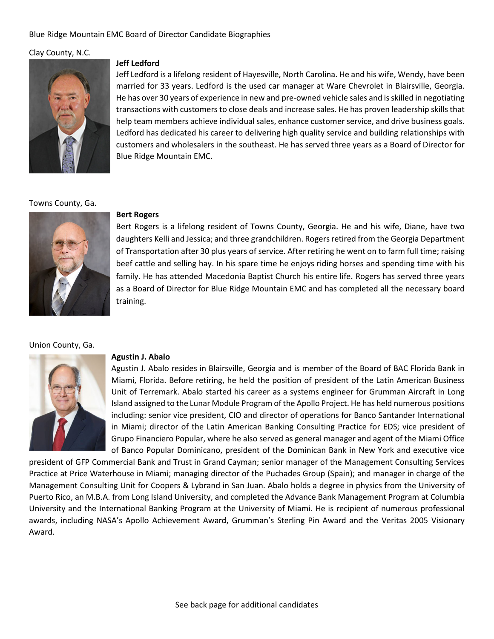# Blue Ridge Mountain EMC Board of Director Candidate Biographies

# Clay County, N.C.



### **Jeff Ledford**

Jeff Ledford is a lifelong resident of Hayesville, North Carolina. He and his wife, Wendy, have been married for 33 years. Ledford is the used car manager at Ware Chevrolet in Blairsville, Georgia. He has over 30 years of experience in new and pre-owned vehicle sales and is skilled in negotiating transactions with customers to close deals and increase sales. He has proven leadership skills that help team members achieve individual sales, enhance customer service, and drive business goals. Ledford has dedicated his career to delivering high quality service and building relationships with customers and wholesalers in the southeast. He has served three years as a Board of Director for Blue Ridge Mountain EMC.

#### Towns County, Ga.



## **Bert Rogers**

Bert Rogers is a lifelong resident of Towns County, Georgia. He and his wife, Diane, have two daughters Kelli and Jessica; and three grandchildren. Rogers retired from the Georgia Department of Transportation after 30 plus years of service. After retiring he went on to farm full time; raising beef cattle and selling hay. In his spare time he enjoys riding horses and spending time with his family. He has attended Macedonia Baptist Church his entire life. Rogers has served three years as a Board of Director for Blue Ridge Mountain EMC and has completed all the necessary board training.

# Union County, Ga.



#### **Agustin J. Abalo**

Agustin J. Abalo resides in Blairsville, Georgia and is member of the Board of BAC Florida Bank in Miami, Florida. Before retiring, he held the position of president of the Latin American Business Unit of Terremark. Abalo started his career as a systems engineer for Grumman Aircraft in Long Island assigned to the Lunar Module Program of the Apollo Project. He has held numerous positions including: senior vice president, CIO and director of operations for Banco Santander International in Miami; director of the Latin American Banking Consulting Practice for EDS; vice president of Grupo Financiero Popular, where he also served as general manager and agent of the Miami Office of Banco Popular Dominicano, president of the Dominican Bank in New York and executive vice

president of GFP Commercial Bank and Trust in Grand Cayman; senior manager of the Management Consulting Services Practice at Price Waterhouse in Miami; managing director of the Puchades Group (Spain); and manager in charge of the Management Consulting Unit for Coopers & Lybrand in San Juan. Abalo holds a degree in physics from the University of Puerto Rico, an M.B.A. from Long Island University, and completed the Advance Bank Management Program at Columbia University and the International Banking Program at the University of Miami. He is recipient of numerous professional awards, including NASA's Apollo Achievement Award, Grumman's Sterling Pin Award and the Veritas 2005 Visionary Award.